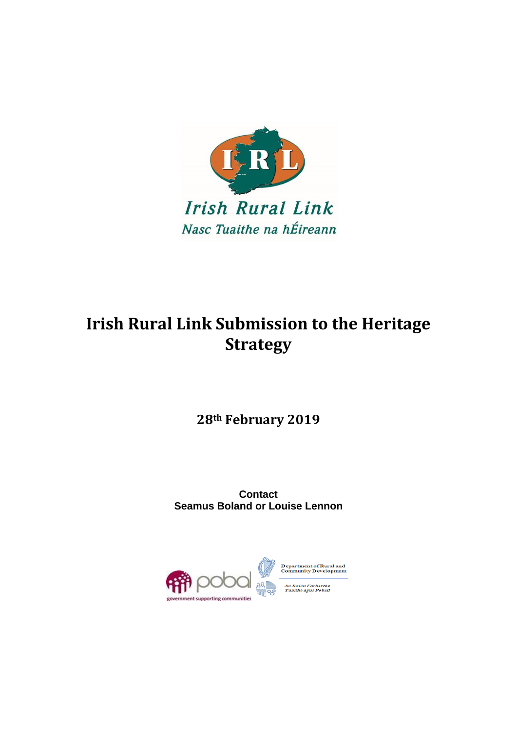

# **Irish Rural Link Submission to the Heritage Strategy**

**28th February 2019**

**Contact Seamus Boland or Louise Lennon**



epartment of Rural and<br>ommunity Development oinn Forbartha<br>the agus Pobail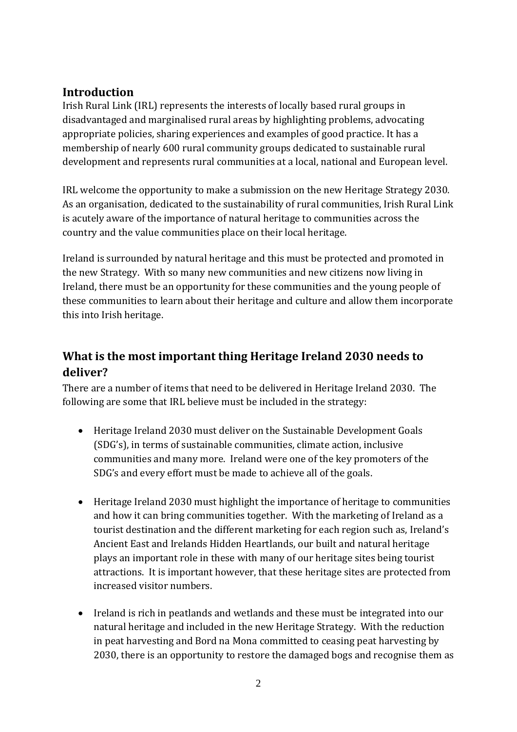#### **Introduction**

Irish Rural Link (IRL) represents the interests of locally based rural groups in disadvantaged and marginalised rural areas by highlighting problems, advocating appropriate policies, sharing experiences and examples of good practice. It has a membership of nearly 600 rural community groups dedicated to sustainable rural development and represents rural communities at a local, national and European level.

IRL welcome the opportunity to make a submission on the new Heritage Strategy 2030. As an organisation, dedicated to the sustainability of rural communities, Irish Rural Link is acutely aware of the importance of natural heritage to communities across the country and the value communities place on their local heritage.

Ireland is surrounded by natural heritage and this must be protected and promoted in the new Strategy. With so many new communities and new citizens now living in Ireland, there must be an opportunity for these communities and the young people of these communities to learn about their heritage and culture and allow them incorporate this into Irish heritage.

## **What is the most important thing Heritage Ireland 2030 needs to deliver?**

There are a number of items that need to be delivered in Heritage Ireland 2030. The following are some that IRL believe must be included in the strategy:

- Heritage Ireland 2030 must deliver on the Sustainable Development Goals (SDG's), in terms of sustainable communities, climate action, inclusive communities and many more. Ireland were one of the key promoters of the SDG's and every effort must be made to achieve all of the goals.
- Heritage Ireland 2030 must highlight the importance of heritage to communities and how it can bring communities together. With the marketing of Ireland as a tourist destination and the different marketing for each region such as, Ireland's Ancient East and Irelands Hidden Heartlands, our built and natural heritage plays an important role in these with many of our heritage sites being tourist attractions. It is important however, that these heritage sites are protected from increased visitor numbers.
- Ireland is rich in peatlands and wetlands and these must be integrated into our natural heritage and included in the new Heritage Strategy. With the reduction in peat harvesting and Bord na Mona committed to ceasing peat harvesting by 2030, there is an opportunity to restore the damaged bogs and recognise them as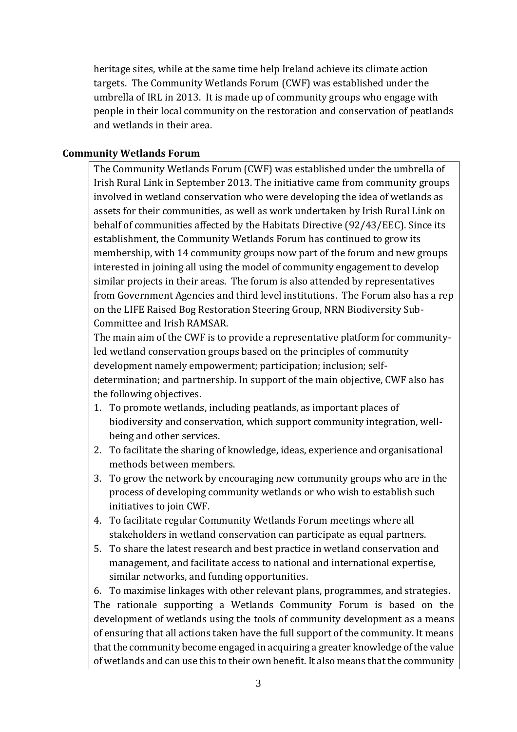heritage sites, while at the same time help Ireland achieve its climate action targets. The Community Wetlands Forum (CWF) was established under the umbrella of IRL in 2013. It is made up of community groups who engage with people in their local community on the restoration and conservation of peatlands and wetlands in their area.

#### **Community Wetlands Forum**

The Community Wetlands Forum (CWF) was established under the umbrella of Irish Rural Link in September 2013. The initiative came from community groups involved in wetland conservation who were developing the idea of wetlands as assets for their communities, as well as work undertaken by Irish Rural Link on behalf of communities affected by the Habitats Directive (92/43/EEC). Since its establishment, the Community Wetlands Forum has continued to grow its membership, with 14 community groups now part of the forum and new groups interested in joining all using the model of community engagement to develop similar projects in their areas. The forum is also attended by representatives from Government Agencies and third level institutions. The Forum also has a rep on the LIFE Raised Bog Restoration Steering Group, NRN Biodiversity Sub-Committee and Irish RAMSAR.

The main aim of the CWF is to provide a representative platform for communityled wetland conservation groups based on the principles of community development namely empowerment; participation; inclusion; selfdetermination; and partnership. In support of the main objective, CWF also has the following objectives.

- 1. To promote wetlands, including peatlands, as important places of biodiversity and conservation, which support community integration, wellbeing and other services.
- 2. To facilitate the sharing of knowledge, ideas, experience and organisational methods between members.
- 3. To grow the network by encouraging new community groups who are in the process of developing community wetlands or who wish to establish such initiatives to join CWF.
- 4. To facilitate regular Community Wetlands Forum meetings where all stakeholders in wetland conservation can participate as equal partners.
- 5. To share the latest research and best practice in wetland conservation and management, and facilitate access to national and international expertise, similar networks, and funding opportunities.

6. To maximise linkages with other relevant plans, programmes, and strategies. The rationale supporting a Wetlands Community Forum is based on the development of wetlands using the tools of community development as a means of ensuring that all actions taken have the full support of the community. It means that the community become engaged in acquiring a greater knowledge of the value of wetlands and can use this to their own benefit. It also means that the community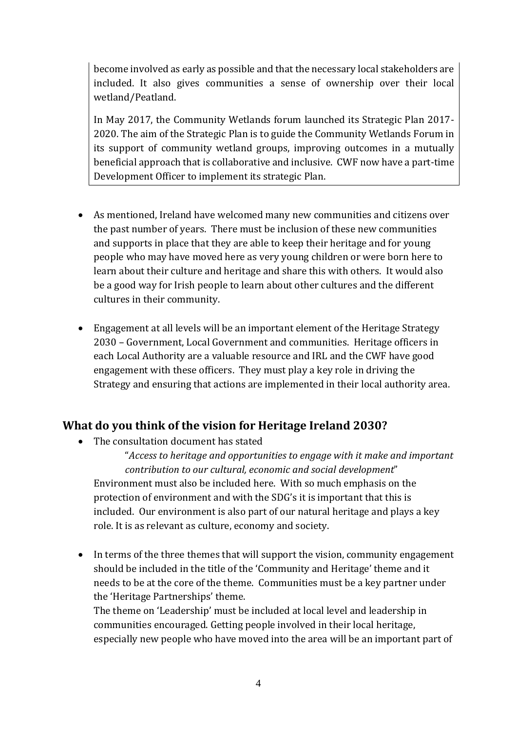become involved as early as possible and that the necessary local stakeholders are included. It also gives communities a sense of ownership over their local wetland/Peatland.

In May 2017, the Community Wetlands forum launched its Strategic Plan 2017- 2020. The aim of the Strategic Plan is to guide the Community Wetlands Forum in its support of community wetland groups, improving outcomes in a mutually beneficial approach that is collaborative and inclusive. CWF now have a part-time Development Officer to implement its strategic Plan.

- As mentioned, Ireland have welcomed many new communities and citizens over the past number of years. There must be inclusion of these new communities and supports in place that they are able to keep their heritage and for young people who may have moved here as very young children or were born here to learn about their culture and heritage and share this with others. It would also be a good way for Irish people to learn about other cultures and the different cultures in their community.
- Engagement at all levels will be an important element of the Heritage Strategy 2030 – Government, Local Government and communities. Heritage officers in each Local Authority are a valuable resource and IRL and the CWF have good engagement with these officers. They must play a key role in driving the Strategy and ensuring that actions are implemented in their local authority area.

### **What do you think of the vision for Heritage Ireland 2030?**

• The consultation document has stated

"*Access to heritage and opportunities to engage with it make and important contribution to our cultural, economic and social development*" Environment must also be included here. With so much emphasis on the protection of environment and with the SDG's it is important that this is included. Our environment is also part of our natural heritage and plays a key role. It is as relevant as culture, economy and society.

• In terms of the three themes that will support the vision, community engagement should be included in the title of the 'Community and Heritage' theme and it needs to be at the core of the theme. Communities must be a key partner under the 'Heritage Partnerships' theme.

The theme on 'Leadership' must be included at local level and leadership in communities encouraged. Getting people involved in their local heritage, especially new people who have moved into the area will be an important part of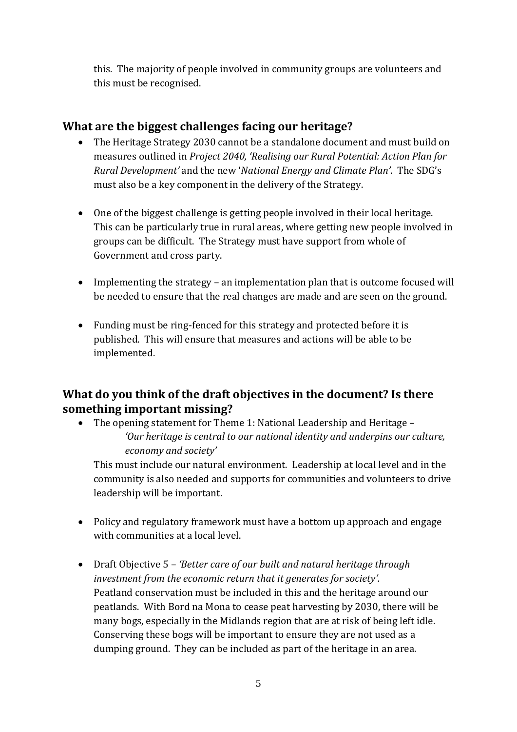this. The majority of people involved in community groups are volunteers and this must be recognised.

## **What are the biggest challenges facing our heritage?**

- The Heritage Strategy 2030 cannot be a standalone document and must build on measures outlined in *Project 2040, 'Realising our Rural Potential: Action Plan for Rural Development'* and the new '*National Energy and Climate Plan'*. The SDG's must also be a key component in the delivery of the Strategy.
- One of the biggest challenge is getting people involved in their local heritage. This can be particularly true in rural areas, where getting new people involved in groups can be difficult. The Strategy must have support from whole of Government and cross party.
- Implementing the strategy an implementation plan that is outcome focused will be needed to ensure that the real changes are made and are seen on the ground.
- Funding must be ring-fenced for this strategy and protected before it is published. This will ensure that measures and actions will be able to be implemented.

### **What do you think of the draft objectives in the document? Is there something important missing?**

 The opening statement for Theme 1: National Leadership and Heritage – *'Our heritage is central to our national identity and underpins our culture, economy and society'*

This must include our natural environment. Leadership at local level and in the community is also needed and supports for communities and volunteers to drive leadership will be important.

- Policy and regulatory framework must have a bottom up approach and engage with communities at a local level.
- Draft Objective 5 *'Better care of our built and natural heritage through investment from the economic return that it generates for society'.* Peatland conservation must be included in this and the heritage around our peatlands. With Bord na Mona to cease peat harvesting by 2030, there will be many bogs, especially in the Midlands region that are at risk of being left idle. Conserving these bogs will be important to ensure they are not used as a dumping ground. They can be included as part of the heritage in an area.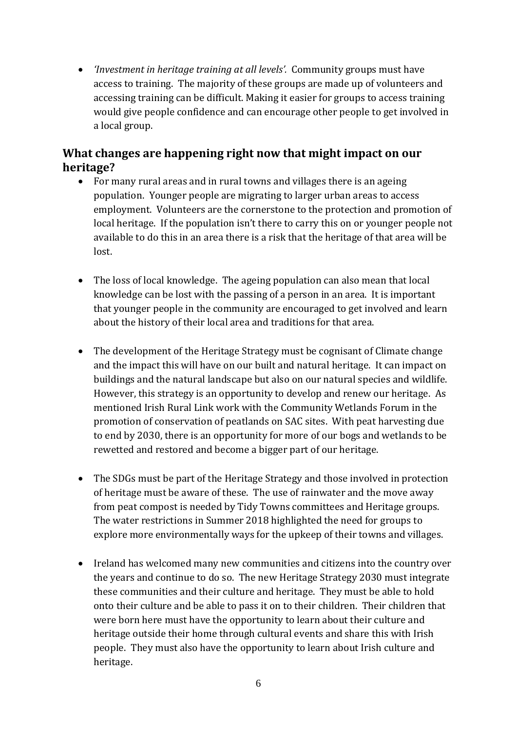*'Investment in heritage training at all levels'.* Community groups must have access to training. The majority of these groups are made up of volunteers and accessing training can be difficult. Making it easier for groups to access training would give people confidence and can encourage other people to get involved in a local group.

### **What changes are happening right now that might impact on our heritage?**

- For many rural areas and in rural towns and villages there is an ageing population. Younger people are migrating to larger urban areas to access employment. Volunteers are the cornerstone to the protection and promotion of local heritage. If the population isn't there to carry this on or younger people not available to do this in an area there is a risk that the heritage of that area will be lost.
- The loss of local knowledge. The ageing population can also mean that local knowledge can be lost with the passing of a person in an area. It is important that younger people in the community are encouraged to get involved and learn about the history of their local area and traditions for that area.
- The development of the Heritage Strategy must be cognisant of Climate change and the impact this will have on our built and natural heritage. It can impact on buildings and the natural landscape but also on our natural species and wildlife. However, this strategy is an opportunity to develop and renew our heritage. As mentioned Irish Rural Link work with the Community Wetlands Forum in the promotion of conservation of peatlands on SAC sites. With peat harvesting due to end by 2030, there is an opportunity for more of our bogs and wetlands to be rewetted and restored and become a bigger part of our heritage.
- The SDGs must be part of the Heritage Strategy and those involved in protection of heritage must be aware of these. The use of rainwater and the move away from peat compost is needed by Tidy Towns committees and Heritage groups. The water restrictions in Summer 2018 highlighted the need for groups to explore more environmentally ways for the upkeep of their towns and villages.
- Ireland has welcomed many new communities and citizens into the country over the years and continue to do so. The new Heritage Strategy 2030 must integrate these communities and their culture and heritage. They must be able to hold onto their culture and be able to pass it on to their children. Their children that were born here must have the opportunity to learn about their culture and heritage outside their home through cultural events and share this with Irish people. They must also have the opportunity to learn about Irish culture and heritage.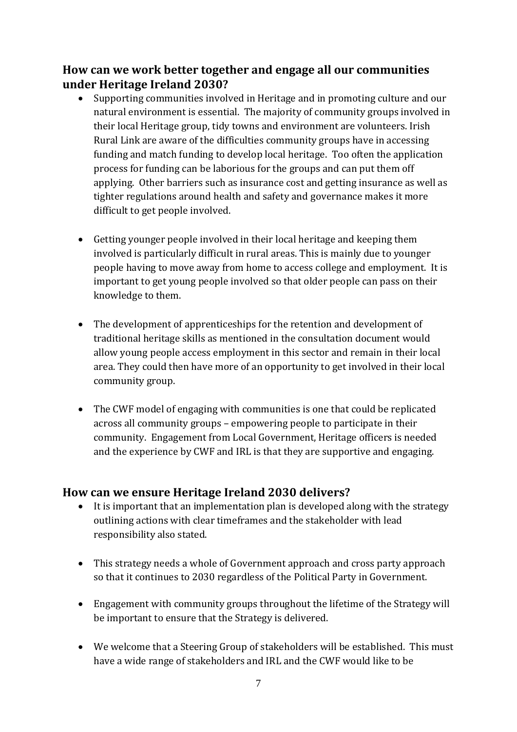### **How can we work better together and engage all our communities under Heritage Ireland 2030?**

- Supporting communities involved in Heritage and in promoting culture and our natural environment is essential. The majority of community groups involved in their local Heritage group, tidy towns and environment are volunteers. Irish Rural Link are aware of the difficulties community groups have in accessing funding and match funding to develop local heritage. Too often the application process for funding can be laborious for the groups and can put them off applying. Other barriers such as insurance cost and getting insurance as well as tighter regulations around health and safety and governance makes it more difficult to get people involved.
- Getting younger people involved in their local heritage and keeping them involved is particularly difficult in rural areas. This is mainly due to younger people having to move away from home to access college and employment. It is important to get young people involved so that older people can pass on their knowledge to them.
- The development of apprenticeships for the retention and development of traditional heritage skills as mentioned in the consultation document would allow young people access employment in this sector and remain in their local area. They could then have more of an opportunity to get involved in their local community group.
- The CWF model of engaging with communities is one that could be replicated across all community groups – empowering people to participate in their community. Engagement from Local Government, Heritage officers is needed and the experience by CWF and IRL is that they are supportive and engaging.

#### **How can we ensure Heritage Ireland 2030 delivers?**

- It is important that an implementation plan is developed along with the strategy outlining actions with clear timeframes and the stakeholder with lead responsibility also stated.
- This strategy needs a whole of Government approach and cross party approach so that it continues to 2030 regardless of the Political Party in Government.
- Engagement with community groups throughout the lifetime of the Strategy will be important to ensure that the Strategy is delivered.
- We welcome that a Steering Group of stakeholders will be established. This must have a wide range of stakeholders and IRL and the CWF would like to be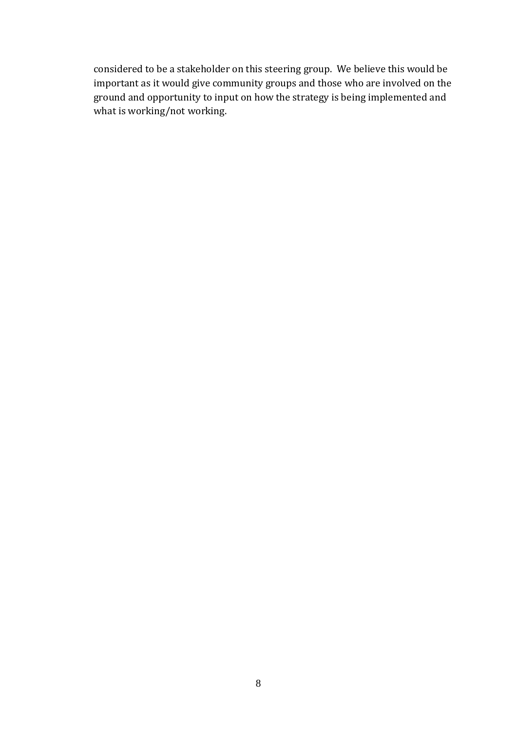considered to be a stakeholder on this steering group. We believe this would be important as it would give community groups and those who are involved on the ground and opportunity to input on how the strategy is being implemented and what is working/not working.